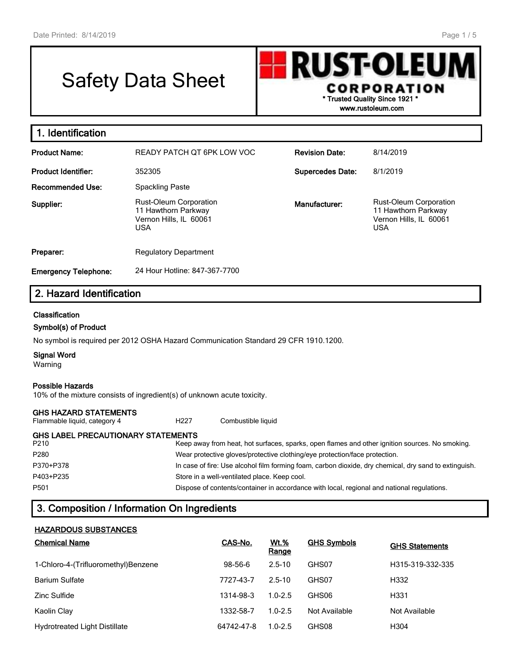# Safety Data Sheet

**RUST-OLEU** CORPORATION **\* Trusted Quality Since 1921 \***

**www.rustoleum.com**

| 1. Identification           |                                                                                       |                         |                                                                                       |
|-----------------------------|---------------------------------------------------------------------------------------|-------------------------|---------------------------------------------------------------------------------------|
| <b>Product Name:</b>        | READY PATCH QT 6PK LOW VOC                                                            | <b>Revision Date:</b>   | 8/14/2019                                                                             |
| <b>Product Identifier:</b>  | 352305                                                                                | <b>Supercedes Date:</b> | 8/1/2019                                                                              |
| <b>Recommended Use:</b>     | <b>Spackling Paste</b>                                                                |                         |                                                                                       |
| Supplier:                   | Rust-Oleum Corporation<br>11 Hawthorn Parkway<br>Vernon Hills, IL 60061<br><b>USA</b> | Manufacturer:           | Rust-Oleum Corporation<br>11 Hawthorn Parkway<br>Vernon Hills, IL 60061<br><b>USA</b> |
| Preparer:                   | <b>Regulatory Department</b>                                                          |                         |                                                                                       |
| <b>Emergency Telephone:</b> | 24 Hour Hotline: 847-367-7700                                                         |                         |                                                                                       |
| 2. Hazard Identification    |                                                                                       |                         |                                                                                       |
| <b>Classification</b>       |                                                                                       |                         |                                                                                       |
| Symbol(s) of Product        |                                                                                       |                         |                                                                                       |

No symbol is required per 2012 OSHA Hazard Communication Standard 29 CFR 1910.1200.

**Signal Word**

Warning

#### **Possible Hazards**

10% of the mixture consists of ingredient(s) of unknown acute toxicity.

#### **GHS HAZARD STATEMENTS**

Flammable liquid, category 4 H227 Combustible liquid

# **GHS LABEL PRECAUTIONARY STATEMENTS**

| P <sub>210</sub> | Keep away from heat, hot surfaces, sparks, open flames and other ignition sources. No smoking.        |
|------------------|-------------------------------------------------------------------------------------------------------|
| P280             | Wear protective gloves/protective clothing/eye protection/face protection.                            |
| P370+P378        | In case of fire: Use alcohol film forming foam, carbon dioxide, dry chemical, dry sand to extinguish. |
| P403+P235        | Store in a well-ventilated place. Keep cool.                                                          |
| P <sub>501</sub> | Dispose of contents/container in accordance with local, regional and national regulations.            |

# **3. Composition / Information On Ingredients**

#### **HAZARDOUS SUBSTANCES**

| <b>Chemical Name</b>                 | CAS-No.    | <u>Wt.%</u><br>Range | <b>GHS Symbols</b> | <b>GHS Statements</b> |
|--------------------------------------|------------|----------------------|--------------------|-----------------------|
| 1-Chloro-4-(Trifluoromethyl)Benzene  | 98-56-6    | $2.5 - 10$           | GHS07              | H315-319-332-335      |
| <b>Barium Sulfate</b>                | 7727-43-7  | $2.5 - 10$           | GHS07              | H332                  |
| Zinc Sulfide                         | 1314-98-3  | $1.0 - 2.5$          | GHS06              | H331                  |
| Kaolin Clay                          | 1332-58-7  | $1.0 - 2.5$          | Not Available      | Not Available         |
| <b>Hydrotreated Light Distillate</b> | 64742-47-8 | $1.0 - 2.5$          | GHS08              | H304                  |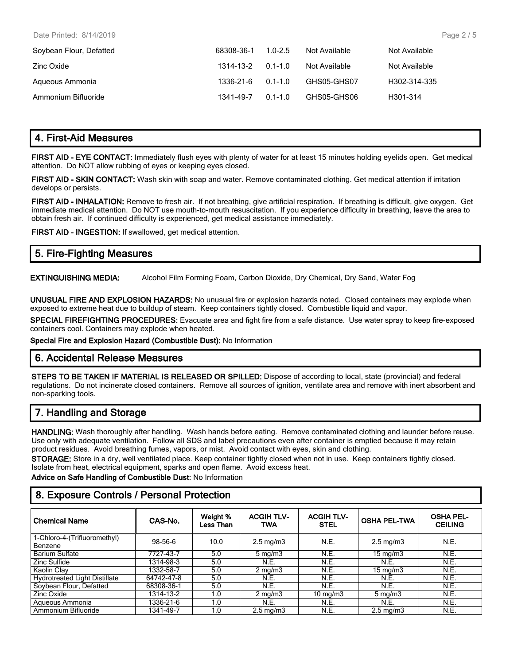| Soybean Flour, Defatted | 68308-36-1 | $1.0 - 2.5$ | Not Available | Not Available |
|-------------------------|------------|-------------|---------------|---------------|
| Zinc Oxide              | 1314-13-2  | $0.1 - 1.0$ | Not Available | Not Available |
| Aqueous Ammonia         | 1336-21-6  | $0.1 - 1.0$ | GHS05-GHS07   | H302-314-335  |
| Ammonium Bifluoride     | 1341-49-7  | $01 - 10$   | GHS05-GHS06   | H301-314      |

# **4. First-Aid Measures**

**FIRST AID - EYE CONTACT:** Immediately flush eyes with plenty of water for at least 15 minutes holding eyelids open. Get medical attention. Do NOT allow rubbing of eyes or keeping eyes closed.

**FIRST AID - SKIN CONTACT:** Wash skin with soap and water. Remove contaminated clothing. Get medical attention if irritation develops or persists.

**FIRST AID - INHALATION:** Remove to fresh air. If not breathing, give artificial respiration. If breathing is difficult, give oxygen. Get immediate medical attention. Do NOT use mouth-to-mouth resuscitation. If you experience difficulty in breathing, leave the area to obtain fresh air. If continued difficulty is experienced, get medical assistance immediately.

**FIRST AID - INGESTION:** If swallowed, get medical attention.

# **5. Fire-Fighting Measures**

**EXTINGUISHING MEDIA:** Alcohol Film Forming Foam, Carbon Dioxide, Dry Chemical, Dry Sand, Water Fog

**UNUSUAL FIRE AND EXPLOSION HAZARDS:** No unusual fire or explosion hazards noted. Closed containers may explode when exposed to extreme heat due to buildup of steam. Keep containers tightly closed. Combustible liquid and vapor.

**SPECIAL FIREFIGHTING PROCEDURES:** Evacuate area and fight fire from a safe distance. Use water spray to keep fire-exposed containers cool. Containers may explode when heated.

**Special Fire and Explosion Hazard (Combustible Dust):** No Information

### **6. Accidental Release Measures**

**STEPS TO BE TAKEN IF MATERIAL IS RELEASED OR SPILLED:** Dispose of according to local, state (provincial) and federal regulations. Do not incinerate closed containers. Remove all sources of ignition, ventilate area and remove with inert absorbent and non-sparking tools.

# **7. Handling and Storage**

**HANDLING:** Wash thoroughly after handling. Wash hands before eating. Remove contaminated clothing and launder before reuse. Use only with adequate ventilation. Follow all SDS and label precautions even after container is emptied because it may retain product residues. Avoid breathing fumes, vapors, or mist. Avoid contact with eyes, skin and clothing.

**STORAGE:** Store in a dry, well ventilated place. Keep container tightly closed when not in use. Keep containers tightly closed. Isolate from heat, electrical equipment, sparks and open flame. Avoid excess heat.

**Advice on Safe Handling of Combustible Dust:** No Information

# **8. Exposure Controls / Personal Protection**

| <b>Chemical Name</b>                    | CAS-No.    | Weight %<br>Less Than | <b>ACGIH TLV-</b><br><b>TWA</b> | <b>ACGIH TLV-</b><br><b>STEL</b> | <b>OSHA PEL-TWA</b> | <b>OSHA PEL-</b><br><b>CEILING</b> |
|-----------------------------------------|------------|-----------------------|---------------------------------|----------------------------------|---------------------|------------------------------------|
| 1-Chloro-4-(Trifluoromethyl)<br>Benzene | 98-56-6    | 10.0                  | $2.5 \text{ mg/m}$              | N.E.                             | $2.5 \text{ mg/m}$  | N.E.                               |
| <b>Barium Sulfate</b>                   | 7727-43-7  | 5.0                   | $5 \text{ mg/m}$                | N.E.                             | $15 \text{ mg/m}$   | N.E.                               |
| Zinc Sulfide                            | 1314-98-3  | 5.0                   | N.E.                            | N.E.                             | N.E.                | N.E.                               |
| Kaolin Clay                             | 1332-58-7  | 5.0                   | $2 \text{ mg/m}$                | N.E.                             | $15 \text{ mg/m}$   | N.E.                               |
| <b>Hydrotreated Light Distillate</b>    | 64742-47-8 | 5.0                   | N.E.                            | N.E.                             | N.E.                | N.E.                               |
| Soybean Flour, Defatted                 | 68308-36-1 | 5.0                   | N.E.                            | N.E.                             | N.E.                | N.E.                               |
| Zinc Oxide                              | 1314-13-2  | 1.0                   | $2 \text{ mg/m}$                | $10 \text{ mg/m}$                | $5 \text{ mg/m}$    | N.E.                               |
| Aqueous Ammonia                         | 1336-21-6  | 1.0                   | N.E.                            | N.E.                             | N.E.                | N.E.                               |
| Ammonium Bifluoride                     | 1341-49-7  | 1.0                   | $2.5 \text{ mg/m}$              | N.E.                             | $2.5 \text{ mg/m}$  | N.E.                               |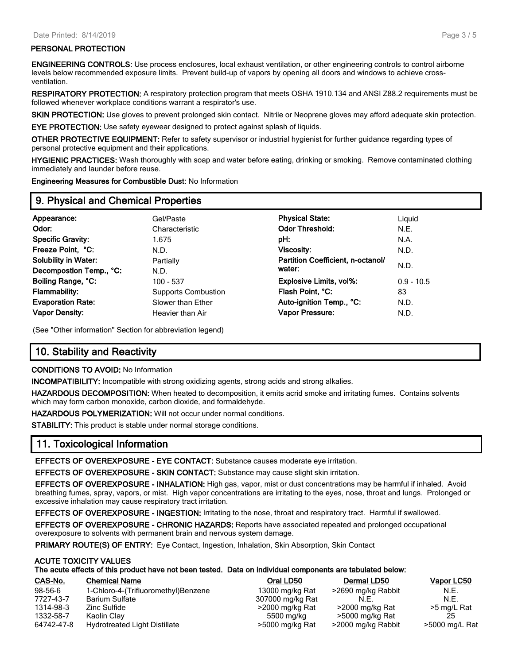#### **PERSONAL PROTECTION**

**ENGINEERING CONTROLS:** Use process enclosures, local exhaust ventilation, or other engineering controls to control airborne levels below recommended exposure limits. Prevent build-up of vapors by opening all doors and windows to achieve crossventilation.

**RESPIRATORY PROTECTION:** A respiratory protection program that meets OSHA 1910.134 and ANSI Z88.2 requirements must be followed whenever workplace conditions warrant a respirator's use.

**SKIN PROTECTION:** Use gloves to prevent prolonged skin contact. Nitrile or Neoprene gloves may afford adequate skin protection.

**EYE PROTECTION:** Use safety eyewear designed to protect against splash of liquids.

**OTHER PROTECTIVE EQUIPMENT:** Refer to safety supervisor or industrial hygienist for further guidance regarding types of personal protective equipment and their applications.

**HYGIENIC PRACTICES:** Wash thoroughly with soap and water before eating, drinking or smoking. Remove contaminated clothing immediately and launder before reuse.

**Engineering Measures for Combustible Dust:** No Information

# **9. Physical and Chemical Properties**

| Appearance:                 | Gel/Paste                  | <b>Physical State:</b>            | Liguid       |
|-----------------------------|----------------------------|-----------------------------------|--------------|
| Odor:                       | Characteristic             | <b>Odor Threshold:</b>            | N.E.         |
| <b>Specific Gravity:</b>    | 1.675                      | pH:                               | N.A.         |
| Freeze Point, °C:           | N.D.                       | <b>Viscosity:</b>                 | N.D.         |
| <b>Solubility in Water:</b> | Partially                  | Partition Coefficient, n-octanol/ |              |
| Decompostion Temp., °C:     | N.D.                       | water:                            | N.D.         |
| Boiling Range, °C:          | 100 - 537                  | Explosive Limits, vol%:           | $0.9 - 10.5$ |
| <b>Flammability:</b>        | <b>Supports Combustion</b> | Flash Point, °C:                  | 83           |
| <b>Evaporation Rate:</b>    | Slower than Ether          | Auto-ignition Temp., °C:          | N.D.         |
| <b>Vapor Density:</b>       | Heavier than Air           | <b>Vapor Pressure:</b>            | N.D.         |
|                             |                            |                                   |              |

(See "Other information" Section for abbreviation legend)

# **10. Stability and Reactivity**

#### **CONDITIONS TO AVOID:** No Information

**INCOMPATIBILITY:** Incompatible with strong oxidizing agents, strong acids and strong alkalies.

**HAZARDOUS DECOMPOSITION:** When heated to decomposition, it emits acrid smoke and irritating fumes. Contains solvents which may form carbon monoxide, carbon dioxide, and formaldehyde.

**HAZARDOUS POLYMERIZATION:** Will not occur under normal conditions.

**STABILITY:** This product is stable under normal storage conditions.

# **11. Toxicological Information**

**EFFECTS OF OVEREXPOSURE - EYE CONTACT:** Substance causes moderate eye irritation.

**EFFECTS OF OVEREXPOSURE - SKIN CONTACT:** Substance may cause slight skin irritation.

**EFFECTS OF OVEREXPOSURE - INHALATION:** High gas, vapor, mist or dust concentrations may be harmful if inhaled. Avoid breathing fumes, spray, vapors, or mist. High vapor concentrations are irritating to the eyes, nose, throat and lungs. Prolonged or excessive inhalation may cause respiratory tract irritation.

**EFFECTS OF OVEREXPOSURE - INGESTION:** Irritating to the nose, throat and respiratory tract. Harmful if swallowed.

**EFFECTS OF OVEREXPOSURE - CHRONIC HAZARDS:** Reports have associated repeated and prolonged occupational overexposure to solvents with permanent brain and nervous system damage.

**PRIMARY ROUTE(S) OF ENTRY:** Eye Contact, Ingestion, Inhalation, Skin Absorption, Skin Contact

#### **ACUTE TOXICITY VALUES**

#### **The acute effects of this product have not been tested. Data on individual components are tabulated below:**

| CAS-No.    | <b>Chemical Name</b>                 | Oral LD50        | Dermal LD50        | Vapor LC50     |
|------------|--------------------------------------|------------------|--------------------|----------------|
| 98-56-6    | 1-Chloro-4-(Trifluoromethyl)Benzene  | 13000 mg/kg Rat  | >2690 mg/kg Rabbit | N.E.           |
| 7727-43-7  | <b>Barium Sulfate</b>                | 307000 mg/kg Rat | N.E                | N.F.           |
| 1314-98-3  | Zinc Sulfide                         | >2000 mg/kg Rat  | >2000 mg/kg Rat    | >5 mg/L Rat    |
| 1332-58-7  | Kaolin Clav                          | 5500 mg/kg       | >5000 mg/kg Rat    |                |
| 64742-47-8 | <b>Hydrotreated Light Distillate</b> | >5000 mg/kg Rat  | >2000 mg/kg Rabbit | >5000 mg/L Rat |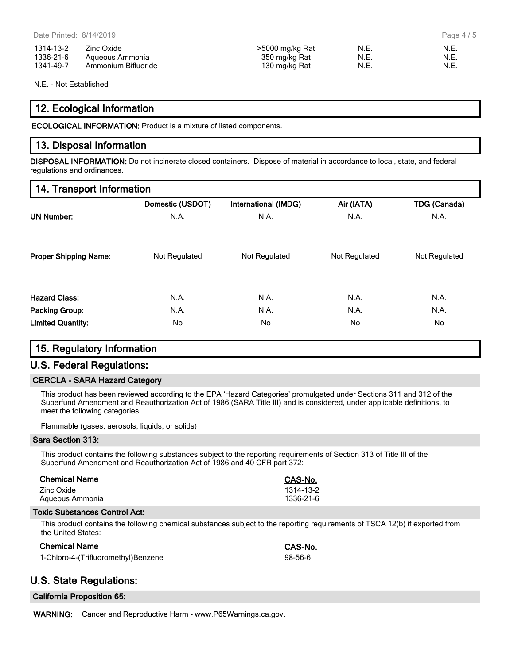| 1314-13-2 | Zinc Oxide          | >5000 mg/kg Rat | N.E. | N.E. |
|-----------|---------------------|-----------------|------|------|
| 1336-21-6 | Aqueous Ammonia     | 350 mg/kg Rat   | N.E. | N.E. |
| 1341-49-7 | Ammonium Bifluoride | 130 mg/kg Rat   | N.E. | N.E. |

N.E. - Not Established

# **12. Ecological Information**

**ECOLOGICAL INFORMATION:** Product is a mixture of listed components.

# **13. Disposal Information**

**DISPOSAL INFORMATION:** Do not incinerate closed containers. Dispose of material in accordance to local, state, and federal regulations and ordinances.

# **14. Transport Information**

|                              | Domestic (USDOT) | International (IMDG) | Air (IATA)    | <b>TDG (Canada)</b> |
|------------------------------|------------------|----------------------|---------------|---------------------|
| <b>UN Number:</b>            | N.A.             | N.A.                 | N.A.          | N.A.                |
| <b>Proper Shipping Name:</b> | Not Regulated    | Not Regulated        | Not Regulated | Not Regulated       |
| <b>Hazard Class:</b>         | N.A.             | N.A.                 | N.A.          | N.A.                |
| <b>Packing Group:</b>        | N.A.             | N.A.                 | N.A.          | N.A.                |
| <b>Limited Quantity:</b>     | No.              | No.                  | No.           | No                  |

# **15. Regulatory Information**

# **U.S. Federal Regulations:**

#### **CERCLA - SARA Hazard Category**

This product has been reviewed according to the EPA 'Hazard Categories' promulgated under Sections 311 and 312 of the Superfund Amendment and Reauthorization Act of 1986 (SARA Title III) and is considered, under applicable definitions, to meet the following categories:

Flammable (gases, aerosols, liquids, or solids)

#### **Sara Section 313:**

This product contains the following substances subject to the reporting requirements of Section 313 of Title III of the Superfund Amendment and Reauthorization Act of 1986 and 40 CFR part 372:

| <b>Chemical Name</b> | CAS-No.   |
|----------------------|-----------|
| Zinc Oxide           | 1314-13-2 |
| Aqueous Ammonia      | 1336-21-6 |

#### **Toxic Substances Control Act:**

This product contains the following chemical substances subject to the reporting requirements of TSCA 12(b) if exported from the United States:

| Chemical Name                       | CAS-No. |
|-------------------------------------|---------|
| 1-Chloro-4-(Trifluoromethyl)Benzene | 98-56-6 |

# **U.S. State Regulations:**

|  | <b>California Proposition 65:</b> |  |
|--|-----------------------------------|--|
|--|-----------------------------------|--|

**WARNING:** Cancer and Reproductive Harm - www.P65Warnings.ca.gov.